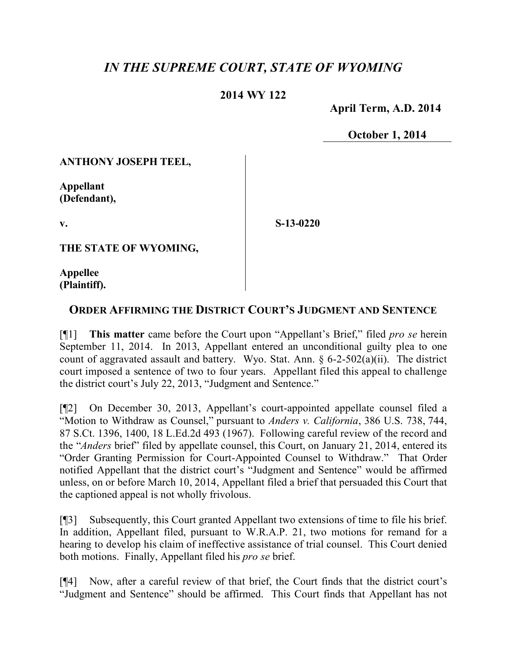## *IN THE SUPREME COURT, STATE OF WYOMING*

## **2014 WY 122**

 **April Term, A.D. 2014**

**October 1, 2014**

**ANTHONY JOSEPH TEEL,**

**Appellant (Defendant),**

**v.**

**S-13-0220**

**THE STATE OF WYOMING,**

**Appellee (Plaintiff).**

## **ORDER AFFIRMING THE DISTRICT COURT'S JUDGMENT AND SENTENCE**

[¶1] **This matter** came before the Court upon "Appellant's Brief," filed *pro se* herein September 11, 2014. In 2013, Appellant entered an unconditional guilty plea to one count of aggravated assault and battery. Wyo. Stat. Ann.  $\S$  6-2-502(a)(ii). The district court imposed a sentence of two to four years. Appellant filed this appeal to challenge the district court's July 22, 2013, "Judgment and Sentence."

[¶2] On December 30, 2013, Appellant's court-appointed appellate counsel filed a "Motion to Withdraw as Counsel," pursuant to *Anders v. California*, 386 U.S. 738, 744, 87 S.Ct. 1396, 1400, 18 L.Ed.2d 493 (1967). Following careful review of the record and the "*Anders* brief" filed by appellate counsel, this Court, on January 21, 2014, entered its "Order Granting Permission for Court-Appointed Counsel to Withdraw." That Order notified Appellant that the district court's "Judgment and Sentence" would be affirmed unless, on or before March 10, 2014, Appellant filed a brief that persuaded this Court that the captioned appeal is not wholly frivolous.

[¶3] Subsequently, this Court granted Appellant two extensions of time to file his brief. In addition, Appellant filed, pursuant to W.R.A.P. 21, two motions for remand for a hearing to develop his claim of ineffective assistance of trial counsel. This Court denied both motions. Finally, Appellant filed his *pro se* brief.

[¶4] Now, after a careful review of that brief, the Court finds that the district court's "Judgment and Sentence" should be affirmed. This Court finds that Appellant has not